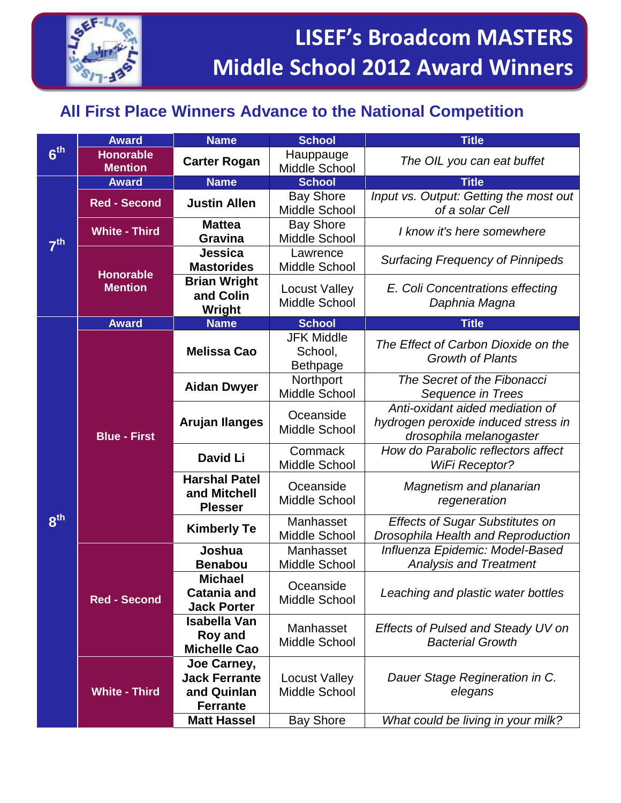

## **All First Place Winners Advance to the National Competition**

|                 | <b>Award</b>                       | <b>Name</b>                                                           | <b>School</b>                                   | <b>Title</b>                                                                                      |
|-----------------|------------------------------------|-----------------------------------------------------------------------|-------------------------------------------------|---------------------------------------------------------------------------------------------------|
| 6 <sup>th</sup> | <b>Honorable</b><br><b>Mention</b> | <b>Carter Rogan</b>                                                   | Hauppauge<br>Middle School                      | The OIL you can eat buffet                                                                        |
| 7 <sup>th</sup> | <b>Award</b>                       | <b>Name</b>                                                           | <b>School</b>                                   | <b>Title</b>                                                                                      |
|                 | <b>Red - Second</b>                | <b>Justin Allen</b>                                                   | <b>Bay Shore</b><br>Middle School               | Input vs. Output: Getting the most out<br>of a solar Cell                                         |
|                 | <b>White - Third</b>               | <b>Mattea</b><br><b>Gravina</b>                                       | <b>Bay Shore</b><br>Middle School               | I know it's here somewhere                                                                        |
|                 | <b>Honorable</b><br><b>Mention</b> | Jessica<br><b>Mastorides</b>                                          | Lawrence<br>Middle School                       | <b>Surfacing Frequency of Pinnipeds</b>                                                           |
|                 |                                    | <b>Brian Wright</b><br>and Colin<br>Wright                            | <b>Locust Valley</b><br>Middle School           | E. Coli Concentrations effecting<br>Daphnia Magna                                                 |
|                 | <b>Award</b>                       | <b>Name</b>                                                           | <b>School</b>                                   | <b>Title</b>                                                                                      |
| 8 <sup>th</sup> | <b>Blue - First</b>                | <b>Melissa Cao</b>                                                    | <b>JFK Middle</b><br>School,<br><b>Bethpage</b> | The Effect of Carbon Dioxide on the<br><b>Growth of Plants</b>                                    |
|                 |                                    | <b>Aidan Dwyer</b>                                                    | Northport<br>Middle School                      | The Secret of the Fibonacci<br>Sequence in Trees                                                  |
|                 |                                    | <b>Arujan Ilanges</b>                                                 | Oceanside<br>Middle School                      | Anti-oxidant aided mediation of<br>hydrogen peroxide induced stress in<br>drosophila melanogaster |
|                 |                                    | David Li                                                              | Commack<br>Middle School                        | How do Parabolic reflectors affect<br><b>WiFi Receptor?</b>                                       |
|                 |                                    | <b>Harshal Patel</b><br>and Mitchell<br><b>Plesser</b>                | Oceanside<br>Middle School                      | Magnetism and planarian<br>regeneration                                                           |
|                 |                                    | <b>Kimberly Te</b>                                                    | Manhasset<br>Middle School                      | <b>Effects of Sugar Substitutes on</b><br>Drosophila Health and Reproduction                      |
|                 | <b>Red - Second</b>                | Joshua<br><b>Benabou</b>                                              | Manhasset<br>Middle School                      | Influenza Epidemic: Model-Based<br><b>Analysis and Treatment</b>                                  |
|                 |                                    | <b>Michael</b><br><b>Catania and</b><br><b>Jack Porter</b>            | Oceanside<br>Middle School                      | Leaching and plastic water bottles                                                                |
|                 |                                    | <b>Isabella Van</b><br>Roy and<br><b>Michelle Cao</b>                 | Manhasset<br>Middle School                      | <b>Effects of Pulsed and Steady UV on</b><br><b>Bacterial Growth</b>                              |
|                 | <b>White - Third</b>               | Joe Carney,<br><b>Jack Ferrante</b><br>and Quinlan<br><b>Ferrante</b> | <b>Locust Valley</b><br>Middle School           | Dauer Stage Regineration in C.<br>elegans                                                         |
|                 |                                    | <b>Matt Hassel</b>                                                    | <b>Bay Shore</b>                                | What could be living in your milk?                                                                |